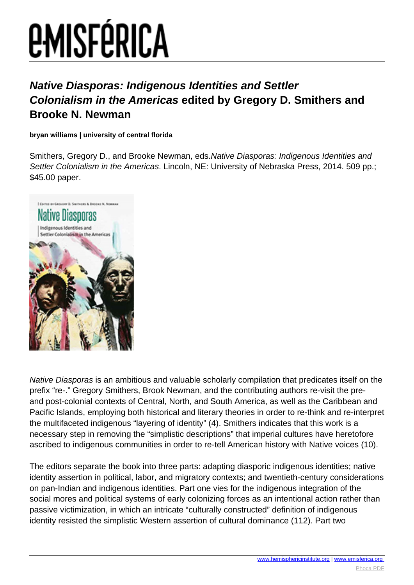## **EMISFÉRICA**

## **Native Diasporas: Indigenous Identities and Settler Colonialism in the Americas edited by Gregory D. Smithers and Brooke N. Newman**

**bryan williams | university of central florida**

Smithers, Gregory D., and Brooke Newman, eds.Native Diasporas: Indigenous Identities and Settler Colonialism in the Americas. Lincoln, NE: University of Nebraska Press, 2014. 509 pp.; \$45.00 paper.



Native Diasporas is an ambitious and valuable scholarly compilation that predicates itself on the prefix "re-." Gregory Smithers, Brook Newman, and the contributing authors re-visit the preand post-colonial contexts of Central, North, and South America, as well as the Caribbean and Pacific Islands, employing both historical and literary theories in order to re-think and re-interpret the multifaceted indigenous "layering of identity" (4). Smithers indicates that this work is a necessary step in removing the "simplistic descriptions" that imperial cultures have heretofore ascribed to indigenous communities in order to re-tell American history with Native voices (10).

The editors separate the book into three parts: adapting diasporic indigenous identities; native identity assertion in political, labor, and migratory contexts; and twentieth-century considerations on pan-Indian and indigenous identities. Part one vies for the indigenous integration of the social mores and political systems of early colonizing forces as an intentional action rather than passive victimization, in which an intricate "culturally constructed" definition of indigenous identity resisted the simplistic Western assertion of cultural dominance (112). Part two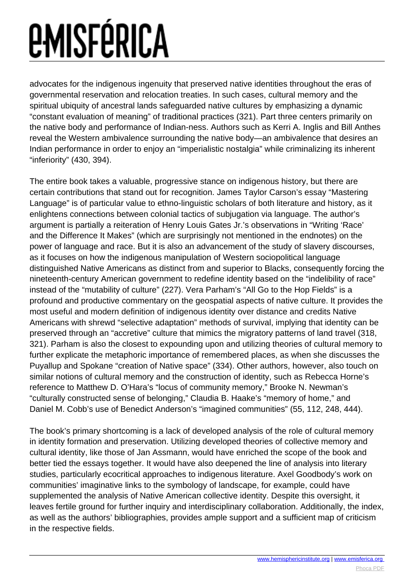## *EMISFÉRICA*

advocates for the indigenous ingenuity that preserved native identities throughout the eras of governmental reservation and relocation treaties. In such cases, cultural memory and the spiritual ubiquity of ancestral lands safeguarded native cultures by emphasizing a dynamic "constant evaluation of meaning" of traditional practices (321). Part three centers primarily on the native body and performance of Indian-ness. Authors such as Kerri A. Inglis and Bill Anthes reveal the Western ambivalence surrounding the native body—an ambivalence that desires an Indian performance in order to enjoy an "imperialistic nostalgia" while criminalizing its inherent "inferiority" (430, 394).

The entire book takes a valuable, progressive stance on indigenous history, but there are certain contributions that stand out for recognition. James Taylor Carson's essay "Mastering Language" is of particular value to ethno-linguistic scholars of both literature and history, as it enlightens connections between colonial tactics of subjugation via language. The author's argument is partially a reiteration of Henry Louis Gates Jr.'s observations in "Writing 'Race' and the Difference It Makes" (which are surprisingly not mentioned in the endnotes) on the power of language and race. But it is also an advancement of the study of slavery discourses, as it focuses on how the indigenous manipulation of Western sociopolitical language distinguished Native Americans as distinct from and superior to Blacks, consequently forcing the nineteenth-century American government to redefine identity based on the "indelibility of race" instead of the "mutability of culture" (227). Vera Parham's "All Go to the Hop Fields" is a profound and productive commentary on the geospatial aspects of native culture. It provides the most useful and modern definition of indigenous identity over distance and credits Native Americans with shrewd "selective adaptation" methods of survival, implying that identity can be preserved through an "accretive" culture that mimics the migratory patterns of land travel (318, 321). Parham is also the closest to expounding upon and utilizing theories of cultural memory to further explicate the metaphoric importance of remembered places, as when she discusses the Puyallup and Spokane "creation of Native space" (334). Other authors, however, also touch on similar notions of cultural memory and the construction of identity, such as Rebecca Horne's reference to Matthew D. O'Hara's "locus of community memory," Brooke N. Newman's "culturally constructed sense of belonging," Claudia B. Haake's "memory of home," and Daniel M. Cobb's use of Benedict Anderson's "imagined communities" (55, 112, 248, 444).

The book's primary shortcoming is a lack of developed analysis of the role of cultural memory in identity formation and preservation. Utilizing developed theories of collective memory and cultural identity, like those of Jan Assmann, would have enriched the scope of the book and better tied the essays together. It would have also deepened the line of analysis into literary studies, particularly ecocritical approaches to indigenous literature. Axel Goodbody's work on communities' imaginative links to the symbology of landscape, for example, could have supplemented the analysis of Native American collective identity. Despite this oversight, it leaves fertile ground for further inquiry and interdisciplinary collaboration. Additionally, the index, as well as the authors' bibliographies, provides ample support and a sufficient map of criticism in the respective fields.